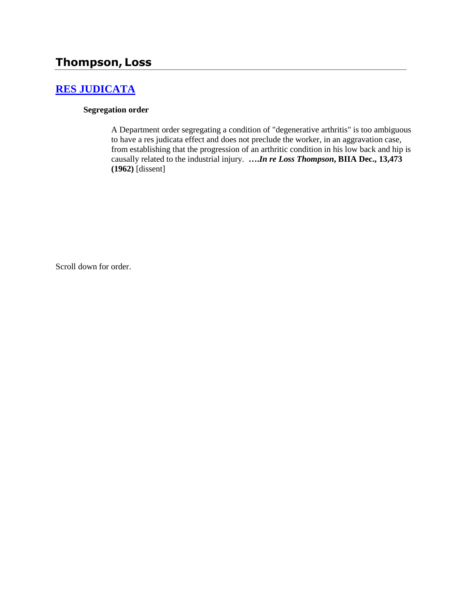## **Thompson, Loss**

#### **[RES JUDICATA](http://www.biia.wa.gov/SDSubjectIndex.html#RES_JUDICATA)**

#### **Segregation order**

A Department order segregating a condition of "degenerative arthritis" is too ambiguous to have a res judicata effect and does not preclude the worker, in an aggravation case, from establishing that the progression of an arthritic condition in his low back and hip is causally related to the industrial injury. **….***In re Loss Thompson***, BIIA Dec., 13,473 (1962)** [dissent]

Scroll down for order.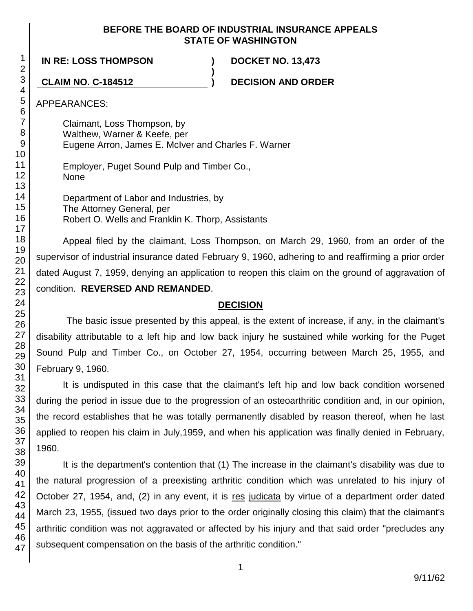#### **BEFORE THE BOARD OF INDUSTRIAL INSURANCE APPEALS STATE OF WASHINGTON**

**)**

**IN RE: LOSS THOMPSON ) DOCKET NO. 13,473**

**CLAIM NO. C-184512 ) DECISION AND ORDER**

APPEARANCES:

Claimant, Loss Thompson, by Walthew, Warner & Keefe, per Eugene Arron, James E. McIver and Charles F. Warner

Employer, Puget Sound Pulp and Timber Co., None

Department of Labor and Industries, by The Attorney General, per Robert O. Wells and Franklin K. Thorp, Assistants

Appeal filed by the claimant, Loss Thompson, on March 29, 1960, from an order of the supervisor of industrial insurance dated February 9, 1960, adhering to and reaffirming a prior order dated August 7, 1959, denying an application to reopen this claim on the ground of aggravation of condition. **REVERSED AND REMANDED**.

#### **DECISION**

The basic issue presented by this appeal, is the extent of increase, if any, in the claimant's disability attributable to a left hip and low back injury he sustained while working for the Puget Sound Pulp and Timber Co., on October 27, 1954, occurring between March 25, 1955, and February 9, 1960.

It is undisputed in this case that the claimant's left hip and low back condition worsened during the period in issue due to the progression of an osteoarthritic condition and, in our opinion, the record establishes that he was totally permanently disabled by reason thereof, when he last applied to reopen his claim in July,1959, and when his application was finally denied in February, 1960.

It is the department's contention that (1) The increase in the claimant's disability was due to the natural progression of a preexisting arthritic condition which was unrelated to his injury of October 27, 1954, and, (2) in any event, it is res judicata by virtue of a department order dated March 23, 1955, (issued two days prior to the order originally closing this claim) that the claimant's arthritic condition was not aggravated or affected by his injury and that said order "precludes any subsequent compensation on the basis of the arthritic condition."

1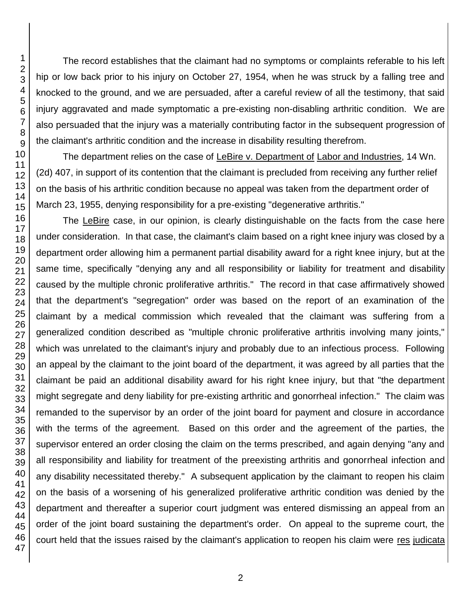The record establishes that the claimant had no symptoms or complaints referable to his left hip or low back prior to his injury on October 27, 1954, when he was struck by a falling tree and knocked to the ground, and we are persuaded, after a careful review of all the testimony, that said injury aggravated and made symptomatic a pre-existing non-disabling arthritic condition. We are also persuaded that the injury was a materially contributing factor in the subsequent progression of the claimant's arthritic condition and the increase in disability resulting therefrom.

The department relies on the case of LeBire v. Department of Labor and Industries, 14 Wn. (2d) 407, in support of its contention that the claimant is precluded from receiving any further relief on the basis of his arthritic condition because no appeal was taken from the department order of March 23, 1955, denying responsibility for a pre-existing "degenerative arthritis."

The LeBire case, in our opinion, is clearly distinguishable on the facts from the case here under consideration. In that case, the claimant's claim based on a right knee injury was closed by a department order allowing him a permanent partial disability award for a right knee injury, but at the same time, specifically "denying any and all responsibility or liability for treatment and disability caused by the multiple chronic proliferative arthritis." The record in that case affirmatively showed that the department's "segregation" order was based on the report of an examination of the claimant by a medical commission which revealed that the claimant was suffering from a generalized condition described as "multiple chronic proliferative arthritis involving many joints," which was unrelated to the claimant's injury and probably due to an infectious process. Following an appeal by the claimant to the joint board of the department, it was agreed by all parties that the claimant be paid an additional disability award for his right knee injury, but that "the department might segregate and deny liability for pre-existing arthritic and gonorrheal infection." The claim was remanded to the supervisor by an order of the joint board for payment and closure in accordance with the terms of the agreement. Based on this order and the agreement of the parties, the supervisor entered an order closing the claim on the terms prescribed, and again denying "any and all responsibility and liability for treatment of the preexisting arthritis and gonorrheal infection and any disability necessitated thereby." A subsequent application by the claimant to reopen his claim on the basis of a worsening of his generalized proliferative arthritic condition was denied by the department and thereafter a superior court judgment was entered dismissing an appeal from an order of the joint board sustaining the department's order. On appeal to the supreme court, the court held that the issues raised by the claimant's application to reopen his claim were res judicata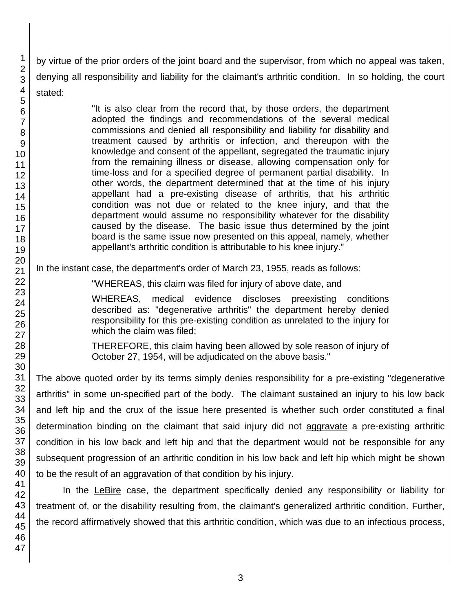by virtue of the prior orders of the joint board and the supervisor, from which no appeal was taken, denying all responsibility and liability for the claimant's arthritic condition. In so holding, the court stated:

> "It is also clear from the record that, by those orders, the department adopted the findings and recommendations of the several medical commissions and denied all responsibility and liability for disability and treatment caused by arthritis or infection, and thereupon with the knowledge and consent of the appellant, segregated the traumatic injury from the remaining illness or disease, allowing compensation only for time-loss and for a specified degree of permanent partial disability. In other words, the department determined that at the time of his injury appellant had a pre-existing disease of arthritis, that his arthritic condition was not due or related to the knee injury, and that the department would assume no responsibility whatever for the disability caused by the disease. The basic issue thus determined by the joint board is the same issue now presented on this appeal, namely, whether appellant's arthritic condition is attributable to his knee injury."

In the instant case, the department's order of March 23, 1955, reads as follows:

"WHEREAS, this claim was filed for injury of above date, and

WHEREAS, medical evidence discloses preexisting conditions described as: "degenerative arthritis" the department hereby denied responsibility for this pre-existing condition as unrelated to the injury for which the claim was filed;

THEREFORE, this claim having been allowed by sole reason of injury of October 27, 1954, will be adjudicated on the above basis."

The above quoted order by its terms simply denies responsibility for a pre-existing "degenerative arthritis" in some un-specified part of the body. The claimant sustained an injury to his low back and left hip and the crux of the issue here presented is whether such order constituted a final determination binding on the claimant that said injury did not aggravate a pre-existing arthritic condition in his low back and left hip and that the department would not be responsible for any subsequent progression of an arthritic condition in his low back and left hip which might be shown to be the result of an aggravation of that condition by his injury.

In the LeBire case, the department specifically denied any responsibility or liability for treatment of, or the disability resulting from, the claimant's generalized arthritic condition. Further, the record affirmatively showed that this arthritic condition, which was due to an infectious process,

1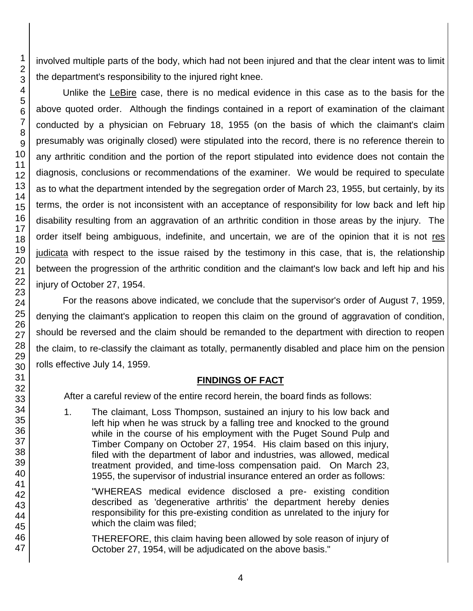involved multiple parts of the body, which had not been injured and that the clear intent was to limit the department's responsibility to the injured right knee.

Unlike the LeBire case, there is no medical evidence in this case as to the basis for the above quoted order. Although the findings contained in a report of examination of the claimant conducted by a physician on February 18, 1955 (on the basis of which the claimant's claim presumably was originally closed) were stipulated into the record, there is no reference therein to any arthritic condition and the portion of the report stipulated into evidence does not contain the diagnosis, conclusions or recommendations of the examiner. We would be required to speculate as to what the department intended by the segregation order of March 23, 1955, but certainly, by its terms, the order is not inconsistent with an acceptance of responsibility for low back and left hip disability resulting from an aggravation of an arthritic condition in those areas by the injury. The order itself being ambiguous, indefinite, and uncertain, we are of the opinion that it is not res judicata with respect to the issue raised by the testimony in this case, that is, the relationship between the progression of the arthritic condition and the claimant's low back and left hip and his injury of October 27, 1954.

For the reasons above indicated, we conclude that the supervisor's order of August 7, 1959, denying the claimant's application to reopen this claim on the ground of aggravation of condition, should be reversed and the claim should be remanded to the department with direction to reopen the claim, to re-classify the claimant as totally, permanently disabled and place him on the pension rolls effective July 14, 1959.

#### **FINDINGS OF FACT**

After a careful review of the entire record herein, the board finds as follows:

1. The claimant, Loss Thompson, sustained an injury to his low back and left hip when he was struck by a falling tree and knocked to the ground while in the course of his employment with the Puget Sound Pulp and Timber Company on October 27, 1954. His claim based on this injury, filed with the department of labor and industries, was allowed, medical treatment provided, and time-loss compensation paid. On March 23, 1955, the supervisor of industrial insurance entered an order as follows:

"WHEREAS medical evidence disclosed a pre- existing condition described as 'degenerative arthritis' the department hereby denies responsibility for this pre-existing condition as unrelated to the injury for which the claim was filed;

THEREFORE, this claim having been allowed by sole reason of injury of October 27, 1954, will be adjudicated on the above basis."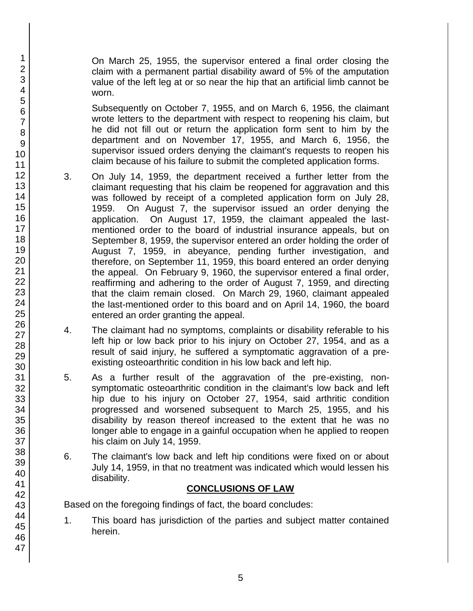On March 25, 1955, the supervisor entered a final order closing the claim with a permanent partial disability award of 5% of the amputation value of the left leg at or so near the hip that an artificial limb cannot be worn.

Subsequently on October 7, 1955, and on March 6, 1956, the claimant wrote letters to the department with respect to reopening his claim, but he did not fill out or return the application form sent to him by the department and on November 17, 1955, and March 6, 1956, the supervisor issued orders denying the claimant's requests to reopen his claim because of his failure to submit the completed application forms.

- 3. On July 14, 1959, the department received a further letter from the claimant requesting that his claim be reopened for aggravation and this was followed by receipt of a completed application form on July 28, 1959. On August 7, the supervisor issued an order denying the application. On August 17, 1959, the claimant appealed the lastmentioned order to the board of industrial insurance appeals, but on September 8, 1959, the supervisor entered an order holding the order of August 7, 1959, in abeyance, pending further investigation, and therefore, on September 11, 1959, this board entered an order denying the appeal. On February 9, 1960, the supervisor entered a final order, reaffirming and adhering to the order of August 7, 1959, and directing that the claim remain closed. On March 29, 1960, claimant appealed the last-mentioned order to this board and on April 14, 1960, the board entered an order granting the appeal.
- 4. The claimant had no symptoms, complaints or disability referable to his left hip or low back prior to his injury on October 27, 1954, and as a result of said injury, he suffered a symptomatic aggravation of a preexisting osteoarthritic condition in his low back and left hip.
- 5. As a further result of the aggravation of the pre-existing, nonsymptomatic osteoarthritic condition in the claimant's low back and left hip due to his injury on October 27, 1954, said arthritic condition progressed and worsened subsequent to March 25, 1955, and his disability by reason thereof increased to the extent that he was no longer able to engage in a gainful occupation when he applied to reopen his claim on July 14, 1959.
- 6. The claimant's low back and left hip conditions were fixed on or about July 14, 1959, in that no treatment was indicated which would lessen his disability.

#### **CONCLUSIONS OF LAW**

Based on the foregoing findings of fact, the board concludes:

1. This board has jurisdiction of the parties and subject matter contained herein.